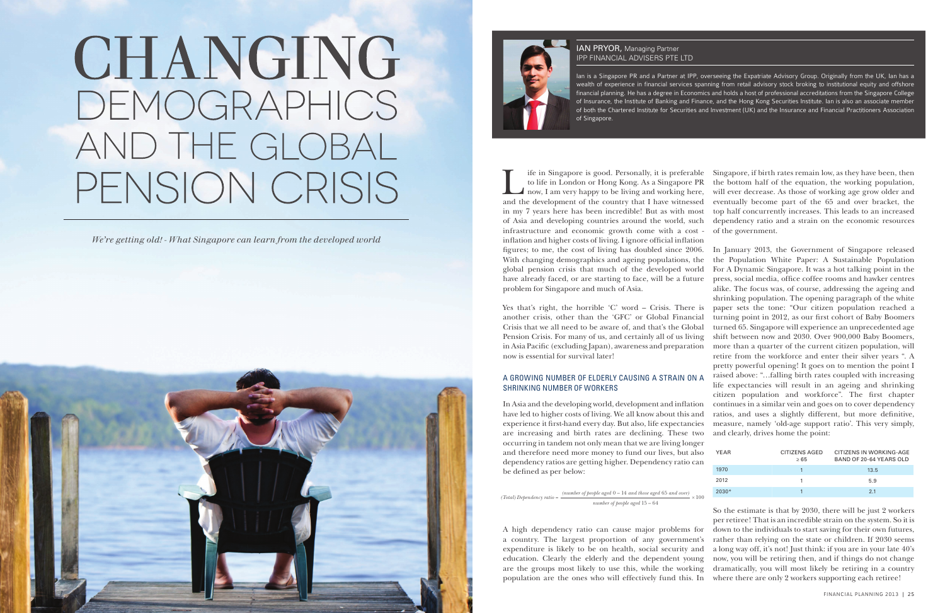



If it is preferable to life in London or Hong Kong. As a Singapore PR<br>now, I am very happy to be living and working here,<br>and the development of the country that I have witnessed to life in London or Hong Kong. As a Singapore PR now, I am very happy to be living and working here, and the development of the country that I have witnessed in my 7 years here has been incredible! But as with most of Asia and developing countries around the world, such dependency ratio and a strain on the economic resources infrastructure and economic growth come with a cost - of the government. inflation and higher costs of living. I ignore official inflation figures; to me, the cost of living has doubled since 2006. With changing demographics and ageing populations, the global pension crisis that much of the developed world have already faced, or are starting to face, will be a future problem for Singapore and much of Asia. Singapore, if birth rates remain low, as they have been, then the bottom half of the equation, the working population, will ever decrease. As those of working age grow older and eventually become part of the 65 and over bracket, the top half concurrently increases. This leads to an increased

## SHRINKING NUMBER OF WORKERS

occurring in tandem not only mean that we are living longer and therefore need more money to fund our lives, but also dependency ratios are getting higher. Dependency ratio can be defined as per below:

Yes that's right, the horrible 'C' word – Crisis. There is another crisis, other than the 'GFC' or Global Financial Crisis that we all need to be aware of, and that's the Global Pension Crisis. For many of us, and certainly all of us living in Asia Pacific (excluding Japan), awareness and preparation now is essential for survival later! A GROWING NUMBER OF ELDERLY CAUSING A STRAIN ON A In Asia and the developing world, development and inflation have led to higher costs of living. We all know about this and experience it first-hand every day. But also, life expectancies are increasing and birth rates are declining. These two In January 2013, the Government of Singapore released the Population White Paper: A Sustainable Population For A Dynamic Singapore. It was a hot talking point in the press, social media, office coffee rooms and hawker centres alike. The focus was, of course, addressing the ageing and shrinking population. The opening paragraph of the white paper sets the tone: "Our citizen population reached a turning point in 2012, as our first cohort of Baby Boomers turned 65. Singapore will experience an unprecedented age shift between now and 2030. Over 900,000 Baby Boomers, more than a quarter of the current citizen population, will retire from the workforce and enter their silver years ". A pretty powerful opening! It goes on to mention the point I raised above: "…falling birth rates coupled with increasing life expectancies will result in an ageing and shrinking citizen population and workforce". The first chapter continues in a similar vein and goes on to cover dependency ratios, and uses a slightly different, but more definitive, measure, namely 'old-age support ratio'. This very simply, and clearly, drives home the point:

#### **IAN PRYOR, Managing Partner** IPP FINANCIAL ADVISERS PTE LTD

*(Total) Dependency ratio =*  $\frac{(number\ of\ people\ aged\ 0-14\ and\ those\ aged\ 65\ and\ over)}{×}100$ *number of people aged* 15 – 64

education. Clearly the elderly and the dependent young now, you will be retiring then, and if things do not change are the groups most likely to use this, while the working dramatically, you will most likely be retiring in a country So the estimate is that by 2030, there will be just 2 workers per retiree! That is an incredible strain on the system. So it is down to the individuals to start saving for their own futures, rather than relying on the state or children. If 2030 seems a long way off, it's not! Just think: if you are in your late 40's

A high dependency ratio can cause major problems for a country. The largest proportion of any government's expenditure is likely to be on health, social security and population are the ones who will effectively fund this. In where there are only 2 workers supporting each retiree!

Ian is a Singapore PR and a Partner at IPP, overseeing the Expatriate Advisory Group. Originally from the UK, Ian has a wealth of experience in financial services spanning from retail advisory stock broking to institutional equity and offshore financial planning. He has a degree in Economics and holds a host of professional accreditations from the Singapore College of Insurance, the Institute of Banking and Finance, and the Hong Kong Securities Institute. Ian is also an associate member of both the Chartered Institute for Securities and Investment (UK) and the Insurance and Financial Practitioners Association of Singapore.

| YFAR    | CITIZENS AGED<br>>65 | CITIZENS IN WORKING-AGE<br>BAND OF 20-64 YEARS OLD |
|---------|----------------------|----------------------------------------------------|
| 1970    |                      | 13.5                                               |
| 2012    |                      | 5.9                                                |
| $2030*$ |                      | 21                                                 |

# CHANGING DEMOGRAPHICS AND THE GLOBAL PENSION CRISIS

*We're getting old! - What Singapore can learn from the developed world*